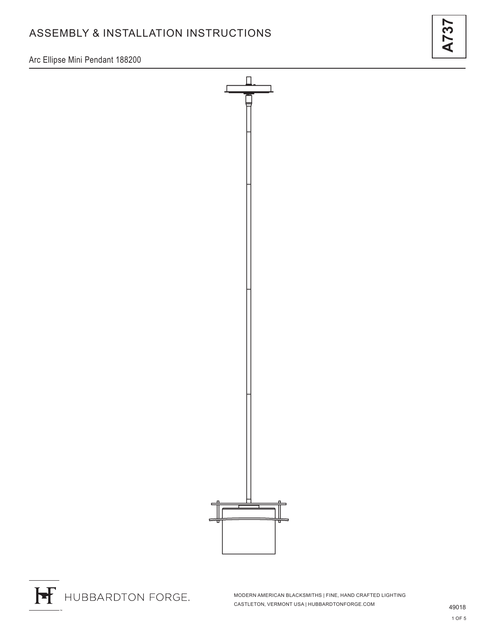# ASSEMBLY & INSTALLATION INSTRUCTIONS

**A737**

Arc Ellipse Mini Pendant 188200





MODERN AMERICAN BLACKSMITHS | FINE, HAND CRAFTED LIGHTING CASTLETON, VERMONT USA | HUBBARDTONFORGE.COM 49018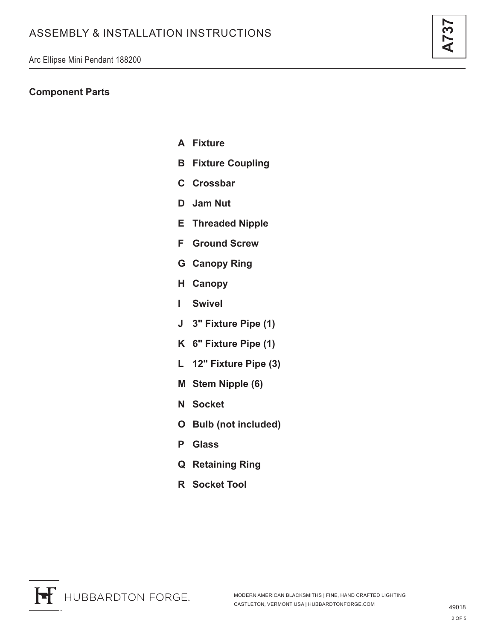### **Component Parts**

- **A Fixture**
- **B Fixture Coupling**
- **C Crossbar**
- **D Jam Nut**
- **E Threaded Nipple**
- **F Ground Screw**
- **G Canopy Ring**
- **H Canopy**
- **I Swivel**
- **J 3" Fixture Pipe (1)**
- **K 6" Fixture Pipe (1)**
- **L 12" Fixture Pipe (3)**
- **M Stem Nipple (6)**
- **N Socket**
- **O Bulb (not included)**
- **P Glass**
- **Q Retaining Ring**
- **R Socket Tool**

**A737**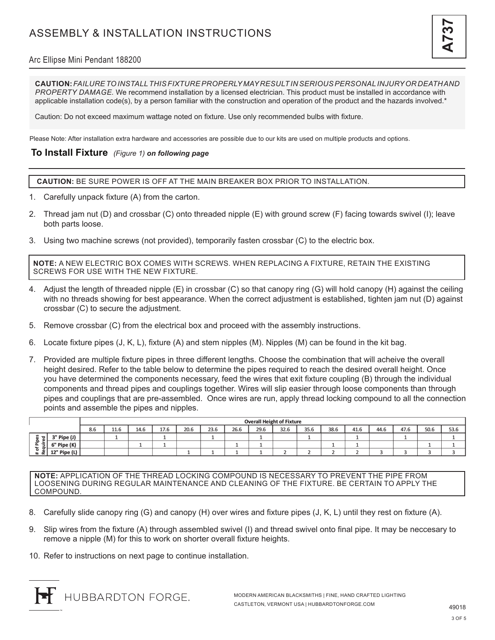

### Arc Ellipse Mini Pendant 188200

**CAUTION:** *FAILURE TO INSTALL THIS FIXTURE PROPERLY MAY RESULT IN SERIOUS PERSONAL INJURY OR DEATH AND PROPERTY DAMAGE.* We recommend installation by a licensed electrician. This product must be installed in accordance with applicable installation code(s), by a person familiar with the construction and operation of the product and the hazards involved.\*

Caution: Do not exceed maximum wattage noted on fixture. Use only recommended bulbs with fixture.

Please Note: After installation extra hardware and accessories are possible due to our kits are used on multiple products and options.

#### **To Install Fixture** *(Figure 1) on following page*

**CAUTION:** BE SURE POWER IS OFF AT THE MAIN BREAKER BOX PRIOR TO INSTALLATION.

- 1. Carefully unpack fixture (A) from the carton.
- 2. Thread jam nut (D) and crossbar (C) onto threaded nipple (E) with ground screw (F) facing towards swivel (I); leave both parts loose.
- 3. Using two machine screws (not provided), temporarily fasten crossbar (C) to the electric box.

**NOTE:** A NEW ELECTRIC BOX COMES WITH SCREWS. WHEN REPLACING A FIXTURE, RETAIN THE EXISTING SCREWS FOR USE WITH THE NEW FIXTURE.

- 4. Adjust the length of threaded nipple (E) in crossbar (C) so that canopy ring (G) will hold canopy (H) against the ceiling with no threads showing for best appearance. When the correct adjustment is established, tighten jam nut (D) against crossbar (C) to secure the adjustment.
- 5. Remove crossbar (C) from the electrical box and proceed with the assembly instructions.
- 6. Locate fixture pipes (J, K, L), fixture (A) and stem nipples (M). Nipples (M) can be found in the kit bag.
- 7. Provided are multiple fixture pipes in three different lengths. Choose the combination that will acheive the overall height desired. Refer to the table below to determine the pipes required to reach the desired overall height. Once you have determined the components necessary, feed the wires that exit fixture coupling (B) through the individual components and thread pipes and couplings together. Wires will slip easier through loose components than through pipes and couplings that are pre-assembled. Once wires are run, apply thread locking compound to all the connection points and assemble the pipes and nipples.

|                                    |              | <b>Overall Height of Fixture</b> |      |      |      |      |      |      |      |      |      |      |      |      |      |      |      |
|------------------------------------|--------------|----------------------------------|------|------|------|------|------|------|------|------|------|------|------|------|------|------|------|
|                                    |              | 8.6                              | 11.6 | 14.6 | 17.6 | 20.6 | 23.6 | 26.6 | 29.6 | 32.6 | 35.6 | 38.6 | 41.6 | 44.6 | 47.6 | 50.6 | 53.6 |
| ਰ।<br>.는<br>≔<br>௨<br>-<br>. ≖ ∝≛. | 3" Pipe (J)  |                                  |      |      |      |      |      |      |      |      |      |      |      |      |      |      |      |
|                                    | 6" Pipe (K)  |                                  |      |      |      |      |      |      |      |      |      |      |      |      |      |      |      |
|                                    | 12" Pipe (L) |                                  |      |      |      |      |      |      |      |      |      |      | ے    |      |      |      |      |

**NOTE:** APPLICATION OF THE THREAD LOCKING COMPOUND IS NECESSARY TO PREVENT THE PIPE FROM LOOSENING DURING REGULAR MAINTENANCE AND CLEANING OF THE FIXTURE. BE CERTAIN TO APPLY THE COMPOUND.

- 8. Carefully slide canopy ring (G) and canopy (H) over wires and fixture pipes (J, K, L) until they rest on fixture (A).
- 9. Slip wires from the fixture (A) through assembled swivel (I) and thread swivel onto final pipe. It may be neccesary to remove a nipple (M) for this to work on shorter overall fixture heights.
- 10. Refer to instructions on next page to continue installation.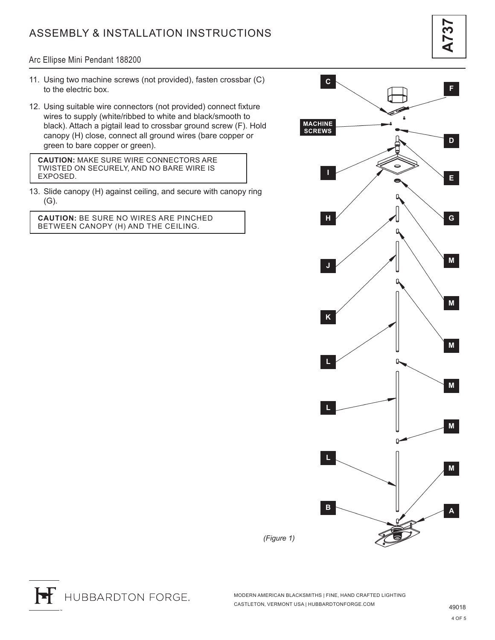# ASSEMBLY & INSTALLATION INSTRUCTIONS

#### Arc Ellipse Mini Pendant 188200

- 11. Using two machine screws (not provided), fasten crossbar (C) to the electric box.
- 12. Using suitable wire connectors (not provided) connect fixture wires to supply (white/ribbed to white and black/smooth to black). Attach a pigtail lead to crossbar ground screw (F). Hold canopy (H) close, connect all ground wires (bare copper or green to bare copper or green).

**CAUTION:** MAKE SURE WIRE CONNECTORS ARE TWISTED ON SECURELY, AND NO BARE WIRE IS EXPOSED.

13. Slide canopy (H) against ceiling, and secure with canopy ring (G).

**CAUTION:** BE SURE NO WIRES ARE PINCHED BETWEEN CANOPY (H) AND THE CEILING.



H HUBBARDTON FORGE.